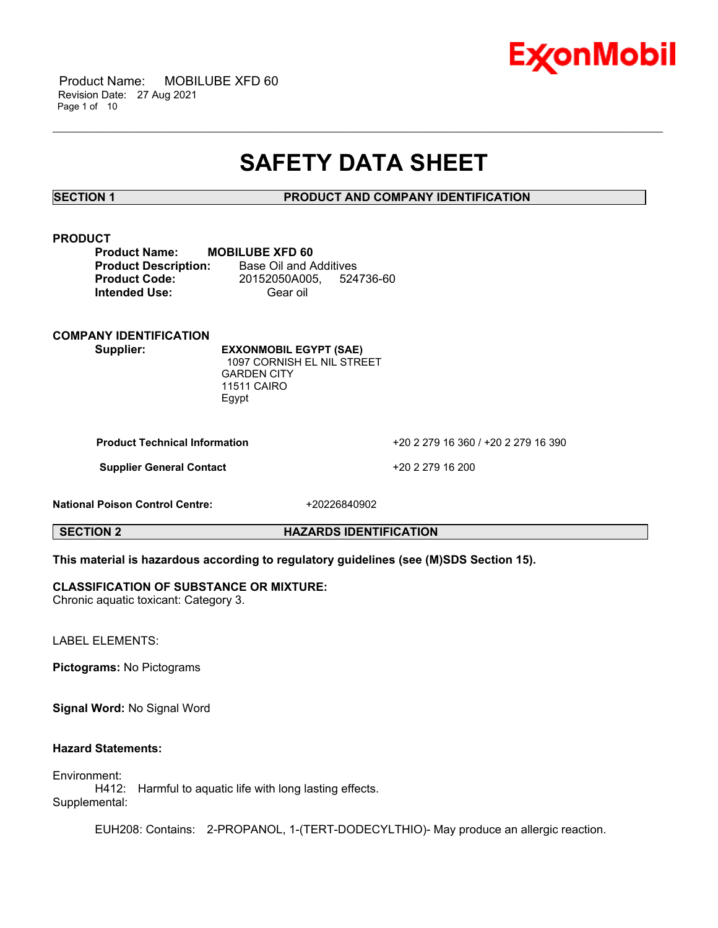

 Product Name: MOBILUBE XFD 60 Revision Date: 27 Aug 2021 Page 1 of 10

# **SAFETY DATA SHEET**

\_\_\_\_\_\_\_\_\_\_\_\_\_\_\_\_\_\_\_\_\_\_\_\_\_\_\_\_\_\_\_\_\_\_\_\_\_\_\_\_\_\_\_\_\_\_\_\_\_\_\_\_\_\_\_\_\_\_\_\_\_\_\_\_\_\_\_\_\_\_\_\_\_\_\_\_\_\_\_\_\_\_\_\_\_\_\_\_\_\_\_\_\_\_\_\_\_\_\_\_\_\_\_\_\_\_\_\_\_\_\_\_\_\_\_\_\_

**SECTION 1 PRODUCT AND COMPANY IDENTIFICATION**

### **PRODUCT**

| <b>Product Name:</b>        | <b>MOBILUBE XFD 60</b> |           |
|-----------------------------|------------------------|-----------|
| <b>Product Description:</b> | Base Oil and Additives |           |
| <b>Product Code:</b>        | 20152050A005.          | 524736-60 |
| <b>Intended Use:</b>        | Gear oil               |           |

**COMPANY IDENTIFICATION**

**Supplier: EXXONMOBIL EGYPT (SAE)** 1097 CORNISH EL NIL STREET GARDEN CITY 11511 CAIRO Egypt

**Product Technical Information** +20 2 279 16 360 / +20 2 279 16 390

**Supplier General Contact** +20 2 279 16 200

**National Poison Control Centre:** +20226840902

**SECTION 2 HAZARDS IDENTIFICATION**

# **This material is hazardous according to regulatory guidelines (see (M)SDS Section 15).**

### **CLASSIFICATION OF SUBSTANCE OR MIXTURE:**

Chronic aquatic toxicant: Category 3.

LABEL ELEMENTS:

**Pictograms:** No Pictograms

**Signal Word:** No Signal Word

# **Hazard Statements:**

Environment: H412: Harmful to aquatic life with long lasting effects. Supplemental:

EUH208: Contains: 2-PROPANOL, 1-(TERT-DODECYLTHIO)- May produce an allergic reaction.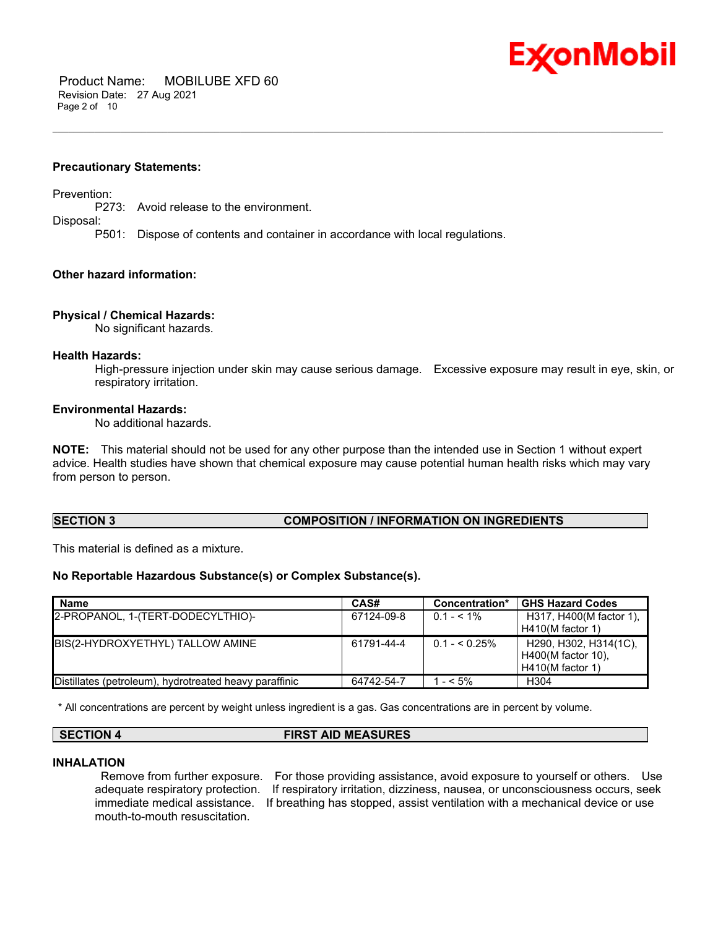

 Product Name: MOBILUBE XFD 60 Revision Date: 27 Aug 2021 Page 2 of 10

#### **Precautionary Statements:**

Prevention:

P273: Avoid release to the environment.

Disposal:

P501: Dispose of contents and container in accordance with local regulations.

#### **Other hazard information:**

#### **Physical / Chemical Hazards:**

No significant hazards.

#### **Health Hazards:**

High-pressure injection under skin may cause serious damage. Excessive exposure may result in eye, skin, or respiratory irritation.

#### **Environmental Hazards:**

No additional hazards.

**NOTE:** This material should not be used for any other purpose than the intended use in Section 1 without expert advice. Health studies have shown that chemical exposure may cause potential human health risks which may vary from person to person.

\_\_\_\_\_\_\_\_\_\_\_\_\_\_\_\_\_\_\_\_\_\_\_\_\_\_\_\_\_\_\_\_\_\_\_\_\_\_\_\_\_\_\_\_\_\_\_\_\_\_\_\_\_\_\_\_\_\_\_\_\_\_\_\_\_\_\_\_\_\_\_\_\_\_\_\_\_\_\_\_\_\_\_\_\_\_\_\_\_\_\_\_\_\_\_\_\_\_\_\_\_\_\_\_\_\_\_\_\_\_\_\_\_\_\_\_\_

#### **SECTION 3 COMPOSITION / INFORMATION ON INGREDIENTS**

This material is defined as a mixture.

#### **No Reportable Hazardous Substance(s) or Complex Substance(s).**

| <b>Name</b>                                            | CAS#       | Concentration* | <b>GHS Hazard Codes</b>                                         |
|--------------------------------------------------------|------------|----------------|-----------------------------------------------------------------|
| 2-PROPANOL, 1-(TERT-DODECYLTHIO)-                      | 67124-09-8 | $0.1 - 5.1\%$  | H317, H400(M factor 1),<br>$H410(M$ factor 1)                   |
| BIS(2-HYDROXYETHYL) TALLOW AMINE                       | 61791-44-4 | $0.1 - 5.25\%$ | H290, H302, H314(1C),<br>H400(M factor 10).<br>H410(M factor 1) |
| Distillates (petroleum), hydrotreated heavy paraffinic | 64742-54-7 | l - < 5%       | H <sub>304</sub>                                                |

\* All concentrations are percent by weight unless ingredient is a gas. Gas concentrations are in percent by volume.

# **SECTION 4 FIRST AID MEASURES**

#### **INHALATION**

mouth-to-mouth resuscitation.

Remove from further exposure. For those providing assistance, avoid exposure to yourself or others. Use adequate respiratory protection. If respiratory irritation, dizziness, nausea, or unconsciousness occurs, seek immediate medical assistance. If breathing has stopped, assist ventilation with a mechanical device or use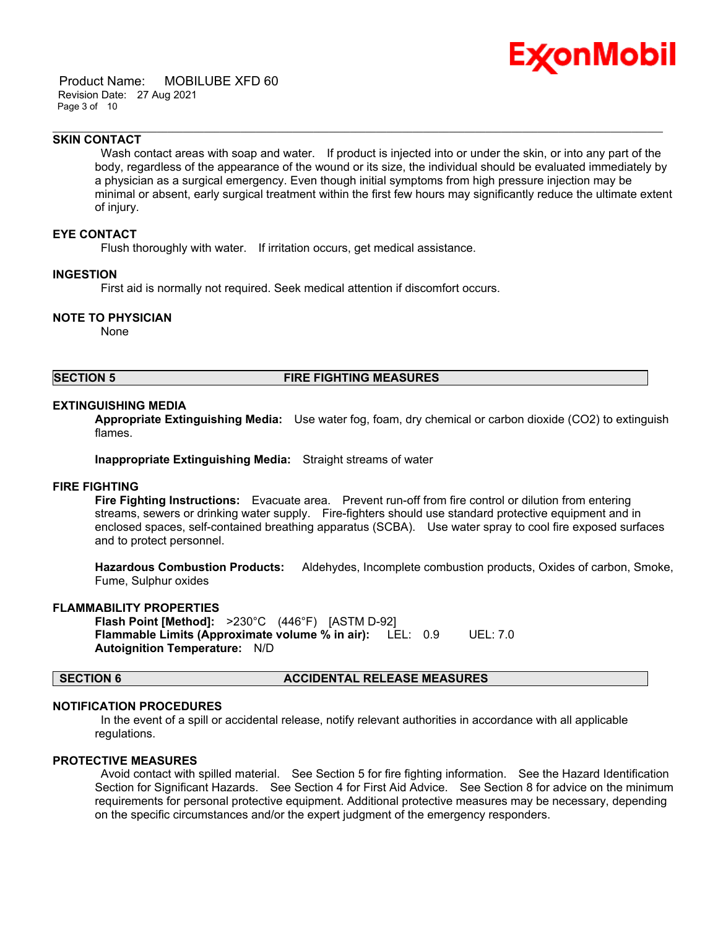

 Product Name: MOBILUBE XFD 60 Revision Date: 27 Aug 2021 Page 3 of 10

#### **SKIN CONTACT**

Wash contact areas with soap and water. If product is injected into or under the skin, or into any part of the body, regardless of the appearance of the wound or its size, the individual should be evaluated immediately by a physician as a surgical emergency. Even though initial symptoms from high pressure injection may be minimal or absent, early surgical treatment within the first few hours may significantly reduce the ultimate extent of injury.

\_\_\_\_\_\_\_\_\_\_\_\_\_\_\_\_\_\_\_\_\_\_\_\_\_\_\_\_\_\_\_\_\_\_\_\_\_\_\_\_\_\_\_\_\_\_\_\_\_\_\_\_\_\_\_\_\_\_\_\_\_\_\_\_\_\_\_\_\_\_\_\_\_\_\_\_\_\_\_\_\_\_\_\_\_\_\_\_\_\_\_\_\_\_\_\_\_\_\_\_\_\_\_\_\_\_\_\_\_\_\_\_\_\_\_\_\_

### **EYE CONTACT**

Flush thoroughly with water. If irritation occurs, get medical assistance.

### **INGESTION**

First aid is normally not required. Seek medical attention if discomfort occurs.

#### **NOTE TO PHYSICIAN**

None

### **SECTION 5 FIRE FIGHTING MEASURES**

#### **EXTINGUISHING MEDIA**

**Appropriate Extinguishing Media:** Use water fog, foam, dry chemical or carbon dioxide (CO2) to extinguish flames.

**Inappropriate Extinguishing Media:** Straight streams of water

#### **FIRE FIGHTING**

**Fire Fighting Instructions:** Evacuate area. Prevent run-off from fire control or dilution from entering streams, sewers or drinking water supply. Fire-fighters should use standard protective equipment and in enclosed spaces, self-contained breathing apparatus (SCBA). Use water spray to cool fire exposed surfaces and to protect personnel.

**Hazardous Combustion Products:** Aldehydes, Incomplete combustion products, Oxides of carbon, Smoke, Fume, Sulphur oxides

#### **FLAMMABILITY PROPERTIES**

**Flash Point [Method]:** >230°C (446°F) [ASTM D-92] **Flammable Limits (Approximate volume % in air):** LEL: 0.9 UEL: 7.0 **Autoignition Temperature:** N/D

#### **SECTION 6 ACCIDENTAL RELEASE MEASURES**

#### **NOTIFICATION PROCEDURES**

In the event of a spill or accidental release, notify relevant authorities in accordance with all applicable regulations.

#### **PROTECTIVE MEASURES**

Avoid contact with spilled material. See Section 5 for fire fighting information. See the Hazard Identification Section for Significant Hazards. See Section 4 for First Aid Advice. See Section 8 for advice on the minimum requirements for personal protective equipment. Additional protective measures may be necessary, depending on the specific circumstances and/or the expert judgment of the emergency responders.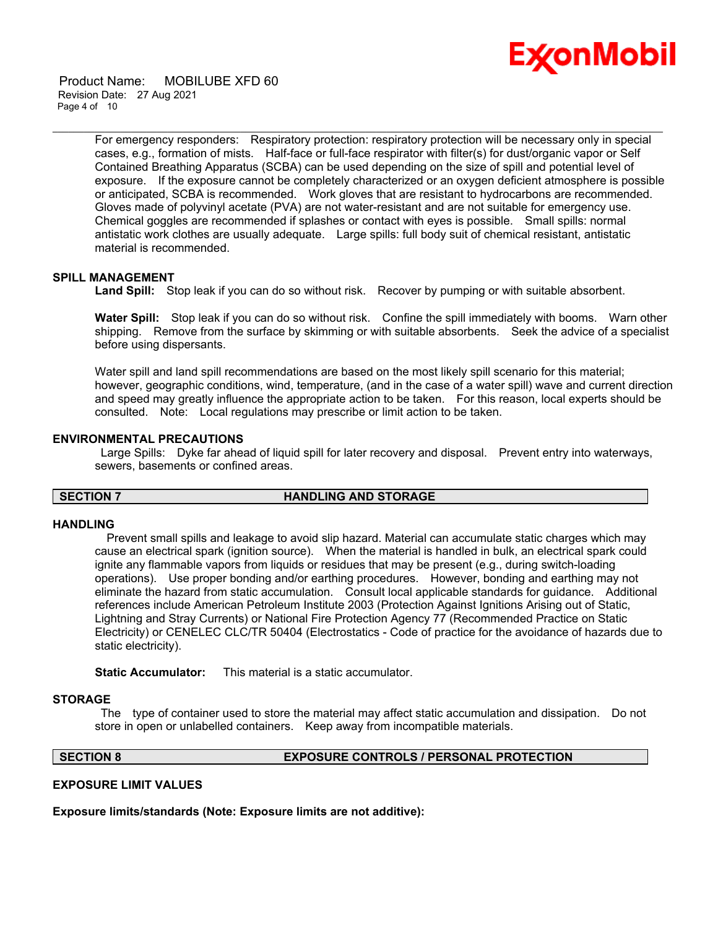

 Product Name: MOBILUBE XFD 60 Revision Date: 27 Aug 2021 Page 4 of 10

> For emergency responders: Respiratory protection: respiratory protection will be necessary only in special cases, e.g., formation of mists. Half-face or full-face respirator with filter(s) for dust/organic vapor or Self Contained Breathing Apparatus (SCBA) can be used depending on the size of spill and potential level of exposure. If the exposure cannot be completely characterized or an oxygen deficient atmosphere is possible or anticipated, SCBA is recommended. Work gloves that are resistant to hydrocarbons are recommended. Gloves made of polyvinyl acetate (PVA) are not water-resistant and are not suitable for emergency use. Chemical goggles are recommended if splashes or contact with eyes is possible. Small spills: normal antistatic work clothes are usually adequate. Large spills: full body suit of chemical resistant, antistatic material is recommended.

### **SPILL MANAGEMENT**

**Land Spill:** Stop leak if you can do so without risk. Recover by pumping or with suitable absorbent.

\_\_\_\_\_\_\_\_\_\_\_\_\_\_\_\_\_\_\_\_\_\_\_\_\_\_\_\_\_\_\_\_\_\_\_\_\_\_\_\_\_\_\_\_\_\_\_\_\_\_\_\_\_\_\_\_\_\_\_\_\_\_\_\_\_\_\_\_\_\_\_\_\_\_\_\_\_\_\_\_\_\_\_\_\_\_\_\_\_\_\_\_\_\_\_\_\_\_\_\_\_\_\_\_\_\_\_\_\_\_\_\_\_\_\_\_\_

**Water Spill:** Stop leak if you can do so without risk. Confine the spill immediately with booms. Warn other shipping. Remove from the surface by skimming or with suitable absorbents. Seek the advice of a specialist before using dispersants.

Water spill and land spill recommendations are based on the most likely spill scenario for this material; however, geographic conditions, wind, temperature, (and in the case of a water spill) wave and current direction and speed may greatly influence the appropriate action to be taken. For this reason, local experts should be consulted. Note: Local regulations may prescribe or limit action to be taken.

#### **ENVIRONMENTAL PRECAUTIONS**

Large Spills: Dyke far ahead of liquid spill for later recovery and disposal. Prevent entry into waterways, sewers, basements or confined areas.

### **SECTION 7 HANDLING AND STORAGE**

#### **HANDLING**

 Prevent small spills and leakage to avoid slip hazard. Material can accumulate static charges which may cause an electrical spark (ignition source). When the material is handled in bulk, an electrical spark could ignite any flammable vapors from liquids or residues that may be present (e.g., during switch-loading operations). Use proper bonding and/or earthing procedures. However, bonding and earthing may not eliminate the hazard from static accumulation. Consult local applicable standards for guidance. Additional references include American Petroleum Institute 2003 (Protection Against Ignitions Arising out of Static, Lightning and Stray Currents) or National Fire Protection Agency 77 (Recommended Practice on Static Electricity) or CENELEC CLC/TR 50404 (Electrostatics - Code of practice for the avoidance of hazards due to static electricity).

**Static Accumulator:** This material is a static accumulator.

#### **STORAGE**

The type of container used to store the material may affect static accumulation and dissipation. Do not store in open or unlabelled containers. Keep away from incompatible materials.

### **SECTION 8 EXPOSURE CONTROLS / PERSONAL PROTECTION**

#### **EXPOSURE LIMIT VALUES**

**Exposure limits/standards (Note: Exposure limits are not additive):**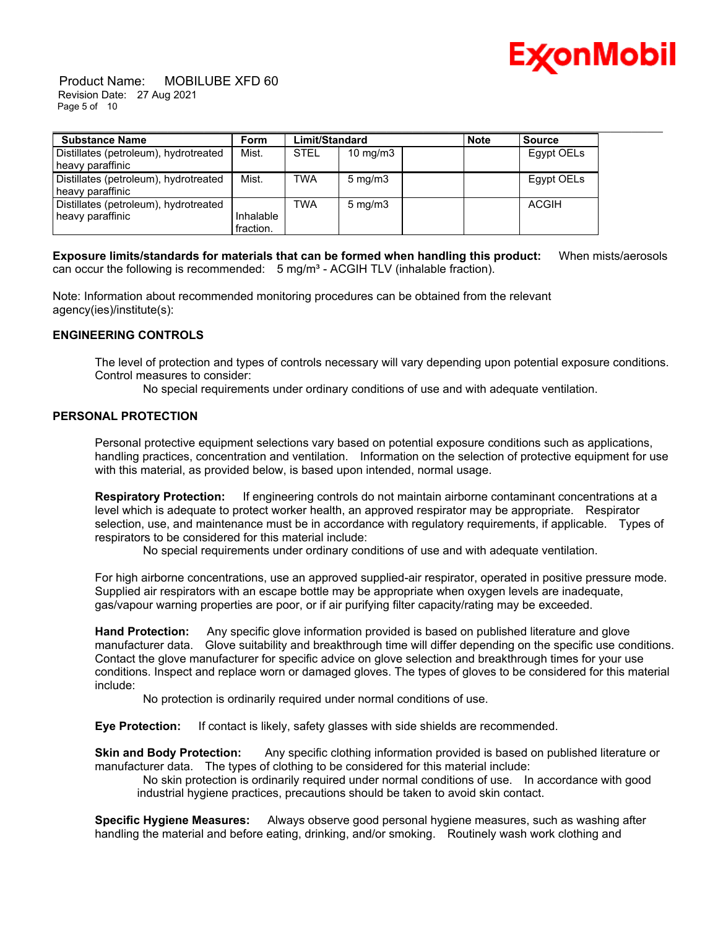

 Product Name: MOBILUBE XFD 60 Revision Date: 27 Aug 2021 Page 5 of 10

| <b>Substance Name</b>                                     | <b>Form</b>            | Limit/Standard |                     | <b>Note</b> | <b>Source</b> |
|-----------------------------------------------------------|------------------------|----------------|---------------------|-------------|---------------|
| Distillates (petroleum), hydrotreated<br>heavy paraffinic | Mist.                  | <b>STEL</b>    | $10 \text{ mg/m}$   |             | Egypt OELs    |
| Distillates (petroleum), hydrotreated<br>heavy paraffinic | Mist.                  | <b>TWA</b>     | $5 \text{ mg/m}$ 3  |             | Egypt OELs    |
| Distillates (petroleum), hydrotreated<br>heavy paraffinic | Inhalable<br>fraction. | <b>TWA</b>     | $5 \,\mathrm{mg/m}$ |             | <b>ACGIH</b>  |

**Exposure limits/standards for materials that can be formed when handling this product:** When mists/aerosols can occur the following is recommended:  $5 \text{ mg/m}^3$  - ACGIH TLV (inhalable fraction).

Note: Information about recommended monitoring procedures can be obtained from the relevant agency(ies)/institute(s):

### **ENGINEERING CONTROLS**

The level of protection and types of controls necessary will vary depending upon potential exposure conditions. Control measures to consider:

No special requirements under ordinary conditions of use and with adequate ventilation.

### **PERSONAL PROTECTION**

Personal protective equipment selections vary based on potential exposure conditions such as applications, handling practices, concentration and ventilation. Information on the selection of protective equipment for use with this material, as provided below, is based upon intended, normal usage.

**Respiratory Protection:** If engineering controls do not maintain airborne contaminant concentrations at a level which is adequate to protect worker health, an approved respirator may be appropriate. Respirator selection, use, and maintenance must be in accordance with regulatory requirements, if applicable. Types of respirators to be considered for this material include:

No special requirements under ordinary conditions of use and with adequate ventilation.

For high airborne concentrations, use an approved supplied-air respirator, operated in positive pressure mode. Supplied air respirators with an escape bottle may be appropriate when oxygen levels are inadequate, gas/vapour warning properties are poor, or if air purifying filter capacity/rating may be exceeded.

**Hand Protection:** Any specific glove information provided is based on published literature and glove manufacturer data. Glove suitability and breakthrough time will differ depending on the specific use conditions. Contact the glove manufacturer for specific advice on glove selection and breakthrough times for your use conditions. Inspect and replace worn or damaged gloves. The types of gloves to be considered for this material include:

No protection is ordinarily required under normal conditions of use.

**Eye Protection:** If contact is likely, safety glasses with side shields are recommended.

**Skin and Body Protection:** Any specific clothing information provided is based on published literature or manufacturer data. The types of clothing to be considered for this material include:

No skin protection is ordinarily required under normal conditions of use. In accordance with good industrial hygiene practices, precautions should be taken to avoid skin contact.

**Specific Hygiene Measures:** Always observe good personal hygiene measures, such as washing after handling the material and before eating, drinking, and/or smoking. Routinely wash work clothing and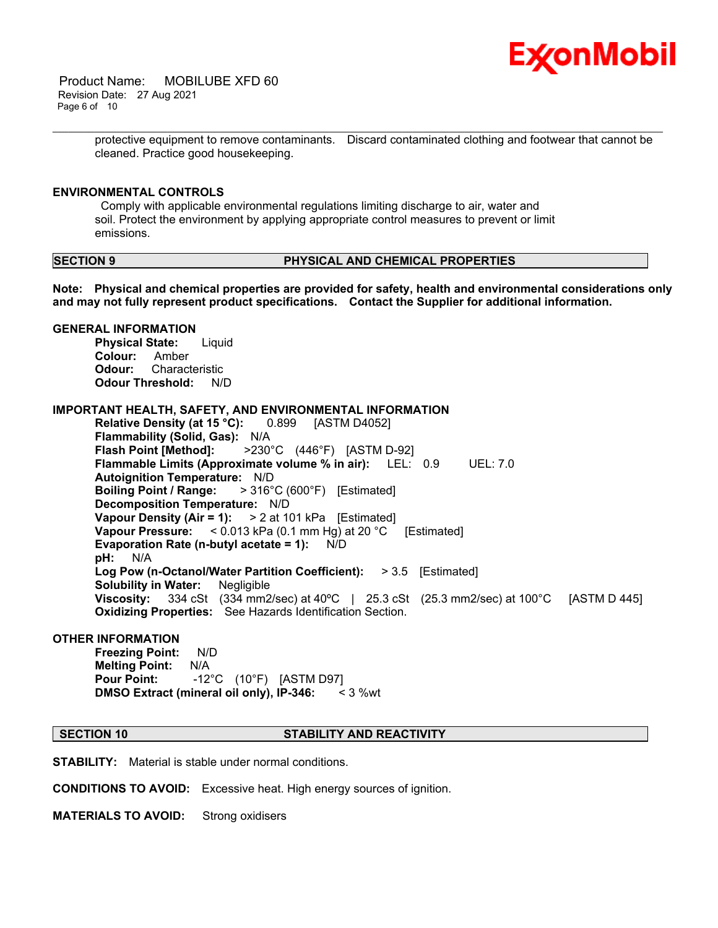

 Product Name: MOBILUBE XFD 60 Revision Date: 27 Aug 2021 Page 6 of 10

> protective equipment to remove contaminants. Discard contaminated clothing and footwear that cannot be cleaned. Practice good housekeeping.

\_\_\_\_\_\_\_\_\_\_\_\_\_\_\_\_\_\_\_\_\_\_\_\_\_\_\_\_\_\_\_\_\_\_\_\_\_\_\_\_\_\_\_\_\_\_\_\_\_\_\_\_\_\_\_\_\_\_\_\_\_\_\_\_\_\_\_\_\_\_\_\_\_\_\_\_\_\_\_\_\_\_\_\_\_\_\_\_\_\_\_\_\_\_\_\_\_\_\_\_\_\_\_\_\_\_\_\_\_\_\_\_\_\_\_\_\_

#### **ENVIRONMENTAL CONTROLS**

Comply with applicable environmental regulations limiting discharge to air, water and soil. Protect the environment by applying appropriate control measures to prevent or limit emissions.

#### **SECTION 9 PHYSICAL AND CHEMICAL PROPERTIES**

**Note: Physical and chemical properties are provided for safety, health and environmental considerations only and may not fully represent product specifications. Contact the Supplier for additional information.**

# **GENERAL INFORMATION**

**Physical State:** Liquid **Colour:** Amber **Odour:** Characteristic **Odour Threshold:** N/D

### **IMPORTANT HEALTH, SAFETY, AND ENVIRONMENTAL INFORMATION**

**Relative Density (at 15 °C):** 0.899 [ASTM D4052] **Flammability (Solid, Gas):** N/A **Flash Point [Method]:** >230°C (446°F) [ASTM D-92] **Flammable Limits (Approximate volume % in air):** LEL: 0.9 UEL: 7.0 **Autoignition Temperature:** N/D **Boiling Point / Range:** > 316°C (600°F) [Estimated] **Decomposition Temperature:** N/D **Vapour Density (Air = 1):** > 2 at 101 kPa [Estimated] **Vapour Pressure:** < 0.013 kPa (0.1 mm Hg) at 20 °C [Estimated] **Evaporation Rate (n-butyl acetate = 1):** N/D **pH:** N/A **Log Pow (n-Octanol/Water Partition Coefficient):** > 3.5 [Estimated] **Solubility in Water:** Negligible **Viscosity:** 334 cSt (334 mm2/sec) at 40°C | 25.3 cSt (25.3 mm2/sec) at 100°C [ASTM D 445] **Oxidizing Properties:** See Hazards Identification Section.

### **OTHER INFORMATION**

**Freezing Point:** N/D **Melting Point:** N/A **Pour Point:** -12°C (10°F) [ASTM D97] **DMSO Extract (mineral oil only), IP-346:** < 3 %wt

#### **SECTION 10 STABILITY AND REACTIVITY**

**STABILITY:** Material is stable under normal conditions.

**CONDITIONS TO AVOID:** Excessive heat. High energy sources of ignition.

**MATERIALS TO AVOID:** Strong oxidisers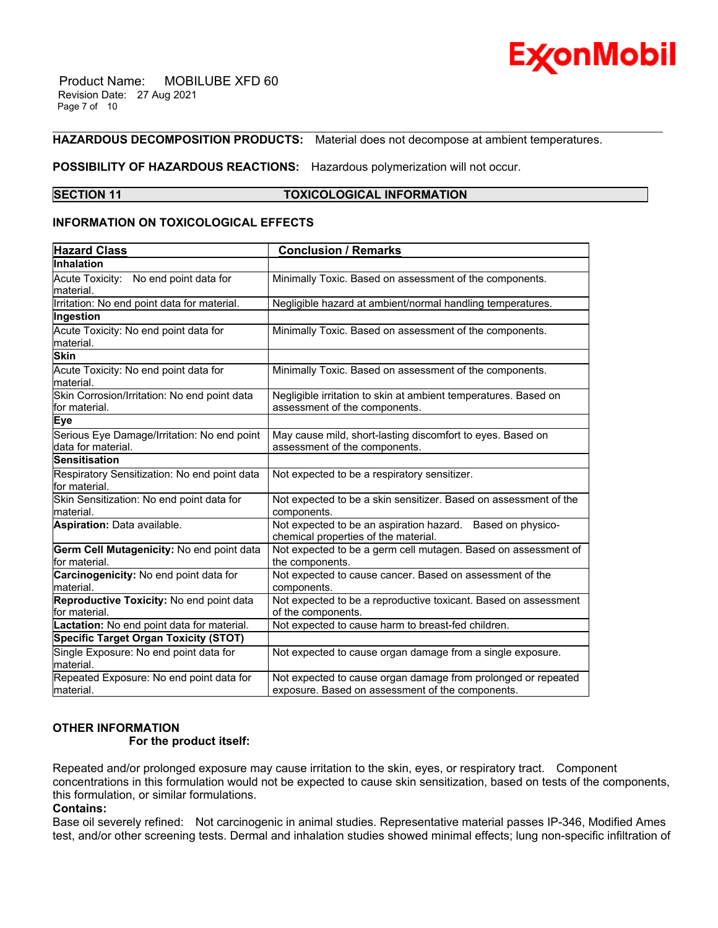

 Product Name: MOBILUBE XFD 60 Revision Date: 27 Aug 2021 Page 7 of 10

#### **HAZARDOUS DECOMPOSITION PRODUCTS:** Material does not decompose at ambient temperatures.

#### **POSSIBILITY OF HAZARDOUS REACTIONS:** Hazardous polymerization will not occur.

#### **SECTION 11 TOXICOLOGICAL INFORMATION**

\_\_\_\_\_\_\_\_\_\_\_\_\_\_\_\_\_\_\_\_\_\_\_\_\_\_\_\_\_\_\_\_\_\_\_\_\_\_\_\_\_\_\_\_\_\_\_\_\_\_\_\_\_\_\_\_\_\_\_\_\_\_\_\_\_\_\_\_\_\_\_\_\_\_\_\_\_\_\_\_\_\_\_\_\_\_\_\_\_\_\_\_\_\_\_\_\_\_\_\_\_\_\_\_\_\_\_\_\_\_\_\_\_\_\_\_\_

#### **INFORMATION ON TOXICOLOGICAL EFFECTS**

| <b>Hazard Class</b>                                               | <b>Conclusion / Remarks</b>                                                                                       |  |  |
|-------------------------------------------------------------------|-------------------------------------------------------------------------------------------------------------------|--|--|
| Inhalation                                                        |                                                                                                                   |  |  |
| Acute Toxicity: No end point data for                             | Minimally Toxic. Based on assessment of the components.                                                           |  |  |
| lmaterial.                                                        |                                                                                                                   |  |  |
| Irritation: No end point data for material.                       | Negligible hazard at ambient/normal handling temperatures.                                                        |  |  |
| Ingestion                                                         |                                                                                                                   |  |  |
| Acute Toxicity: No end point data for<br>lmaterial.               | Minimally Toxic. Based on assessment of the components.                                                           |  |  |
| <b>Skin</b>                                                       |                                                                                                                   |  |  |
| Acute Toxicity: No end point data for<br>lmaterial.               | Minimally Toxic. Based on assessment of the components.                                                           |  |  |
| Skin Corrosion/Irritation: No end point data<br>for material.     | Negligible irritation to skin at ambient temperatures. Based on<br>assessment of the components.                  |  |  |
| Eye                                                               |                                                                                                                   |  |  |
| Serious Eye Damage/Irritation: No end point<br>data for material. | May cause mild, short-lasting discomfort to eyes. Based on<br>assessment of the components.                       |  |  |
| Sensitisation                                                     |                                                                                                                   |  |  |
| Respiratory Sensitization: No end point data<br>for material.     | Not expected to be a respiratory sensitizer.                                                                      |  |  |
| Skin Sensitization: No end point data for<br>material.            | Not expected to be a skin sensitizer. Based on assessment of the<br>components.                                   |  |  |
| <b>Aspiration: Data available.</b>                                | Not expected to be an aspiration hazard. Based on physico-<br>chemical properties of the material.                |  |  |
| Germ Cell Mutagenicity: No end point data<br>for material.        | Not expected to be a germ cell mutagen. Based on assessment of<br>the components.                                 |  |  |
| Carcinogenicity: No end point data for<br>material.               | Not expected to cause cancer. Based on assessment of the<br>components.                                           |  |  |
| Reproductive Toxicity: No end point data<br>for material.         | Not expected to be a reproductive toxicant. Based on assessment<br>of the components.                             |  |  |
| Lactation: No end point data for material.                        | Not expected to cause harm to breast-fed children.                                                                |  |  |
| <b>Specific Target Organ Toxicity (STOT)</b>                      |                                                                                                                   |  |  |
| Single Exposure: No end point data for<br>lmaterial.              | Not expected to cause organ damage from a single exposure.                                                        |  |  |
| Repeated Exposure: No end point data for<br>material.             | Not expected to cause organ damage from prolonged or repeated<br>exposure. Based on assessment of the components. |  |  |

# **OTHER INFORMATION**

# **For the product itself:**

Repeated and/or prolonged exposure may cause irritation to the skin, eyes, or respiratory tract. Component concentrations in this formulation would not be expected to cause skin sensitization, based on tests of the components, this formulation, or similar formulations.

#### **Contains:**

Base oil severely refined: Not carcinogenic in animal studies. Representative material passes IP-346, Modified Ames test, and/or other screening tests. Dermal and inhalation studies showed minimal effects; lung non-specific infiltration of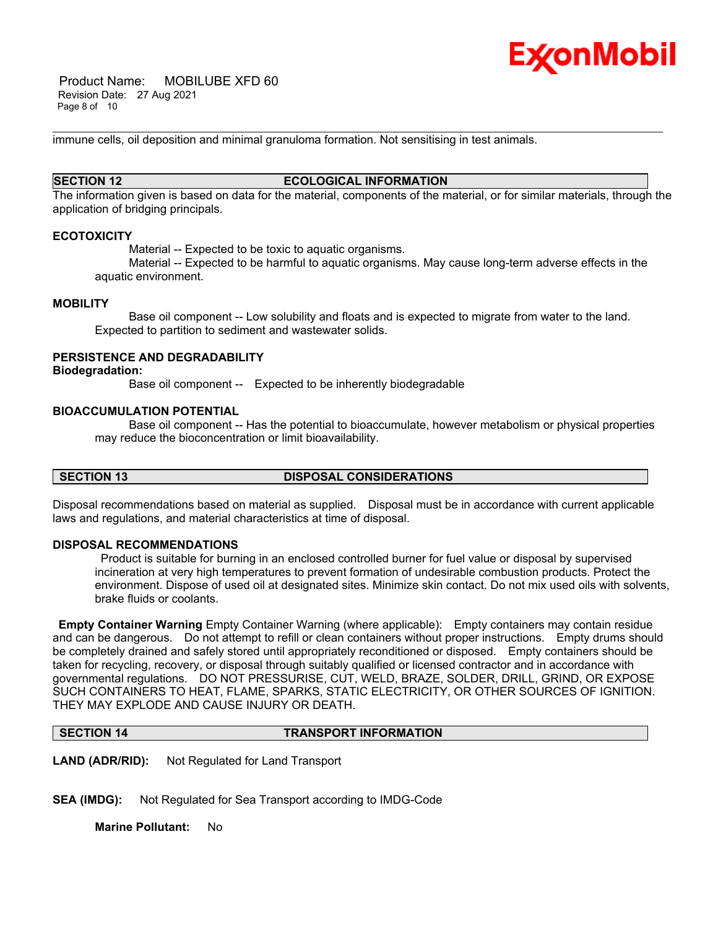

 Product Name: MOBILUBE XFD 60 Revision Date: 27 Aug 2021 Page 8 of 10

immune cells, oil deposition and minimal granuloma formation. Not sensitising in test animals.

# **SECTION 12 ECOLOGICAL INFORMATION**

\_\_\_\_\_\_\_\_\_\_\_\_\_\_\_\_\_\_\_\_\_\_\_\_\_\_\_\_\_\_\_\_\_\_\_\_\_\_\_\_\_\_\_\_\_\_\_\_\_\_\_\_\_\_\_\_\_\_\_\_\_\_\_\_\_\_\_\_\_\_\_\_\_\_\_\_\_\_\_\_\_\_\_\_\_\_\_\_\_\_\_\_\_\_\_\_\_\_\_\_\_\_\_\_\_\_\_\_\_\_\_\_\_\_\_\_\_

The information given is based on data for the material, components of the material, or for similar materials, through the application of bridging principals.

#### **ECOTOXICITY**

Material -- Expected to be toxic to aquatic organisms.

 Material -- Expected to be harmful to aquatic organisms. May cause long-term adverse effects in the aquatic environment.

#### **MOBILITY**

 Base oil component -- Low solubility and floats and is expected to migrate from water to the land. Expected to partition to sediment and wastewater solids.

# **PERSISTENCE AND DEGRADABILITY**

#### **Biodegradation:**

Base oil component -- Expected to be inherently biodegradable

#### **BIOACCUMULATION POTENTIAL**

 Base oil component -- Has the potential to bioaccumulate, however metabolism or physical properties may reduce the bioconcentration or limit bioavailability.

# **SECTION 13 DISPOSAL CONSIDERATIONS**

Disposal recommendations based on material as supplied. Disposal must be in accordance with current applicable laws and regulations, and material characteristics at time of disposal.

### **DISPOSAL RECOMMENDATIONS**

Product is suitable for burning in an enclosed controlled burner for fuel value or disposal by supervised incineration at very high temperatures to prevent formation of undesirable combustion products. Protect the environment. Dispose of used oil at designated sites. Minimize skin contact. Do not mix used oils with solvents, brake fluids or coolants.

**Empty Container Warning** Empty Container Warning (where applicable): Empty containers may contain residue and can be dangerous. Do not attempt to refill or clean containers without proper instructions. Empty drums should be completely drained and safely stored until appropriately reconditioned or disposed. Empty containers should be taken for recycling, recovery, or disposal through suitably qualified or licensed contractor and in accordance with governmental regulations. DO NOT PRESSURISE, CUT, WELD, BRAZE, SOLDER, DRILL, GRIND, OR EXPOSE SUCH CONTAINERS TO HEAT, FLAME, SPARKS, STATIC ELECTRICITY, OR OTHER SOURCES OF IGNITION. THEY MAY EXPLODE AND CAUSE INJURY OR DEATH.

**SECTION 14 TRANSPORT INFORMATION**

**LAND (ADR/RID):** Not Regulated for Land Transport

**SEA (IMDG):** Not Regulated for Sea Transport according to IMDG-Code

**Marine Pollutant:** No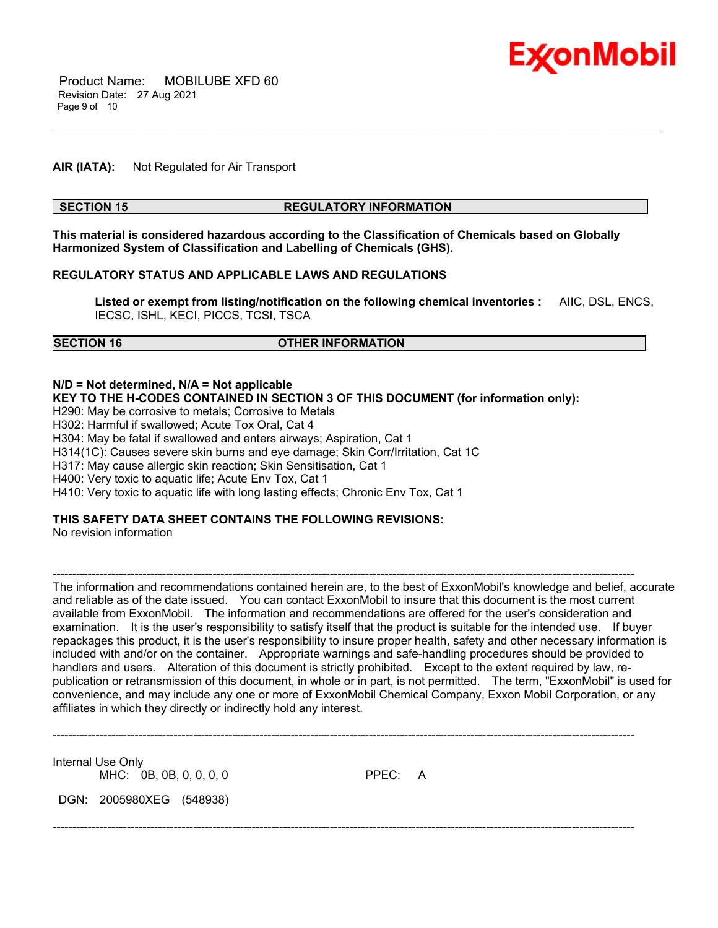

### **AIR (IATA):** Not Regulated for Air Transport

#### **SECTION 15 REGULATORY INFORMATION**

\_\_\_\_\_\_\_\_\_\_\_\_\_\_\_\_\_\_\_\_\_\_\_\_\_\_\_\_\_\_\_\_\_\_\_\_\_\_\_\_\_\_\_\_\_\_\_\_\_\_\_\_\_\_\_\_\_\_\_\_\_\_\_\_\_\_\_\_\_\_\_\_\_\_\_\_\_\_\_\_\_\_\_\_\_\_\_\_\_\_\_\_\_\_\_\_\_\_\_\_\_\_\_\_\_\_\_\_\_\_\_\_\_\_\_\_\_

**This material is considered hazardous according to the Classification of Chemicals based on Globally Harmonized System of Classification and Labelling of Chemicals (GHS).**

#### **REGULATORY STATUS AND APPLICABLE LAWS AND REGULATIONS**

**Listed or exempt from listing/notification on the following chemical inventories :** AIIC, DSL, ENCS, IECSC, ISHL, KECI, PICCS, TCSI, TSCA

# **SECTION 16 OTHER INFORMATION**

#### **N/D = Not determined, N/A = Not applicable**

**KEY TO THE H-CODES CONTAINED IN SECTION 3 OF THIS DOCUMENT (for information only):**

H290: May be corrosive to metals; Corrosive to Metals

H302: Harmful if swallowed; Acute Tox Oral, Cat 4

H304: May be fatal if swallowed and enters airways; Aspiration, Cat 1

H314(1C): Causes severe skin burns and eye damage; Skin Corr/Irritation, Cat 1C

H317: May cause allergic skin reaction; Skin Sensitisation, Cat 1

H400: Very toxic to aquatic life; Acute Env Tox, Cat 1

H410: Very toxic to aquatic life with long lasting effects; Chronic Env Tox, Cat 1

### **THIS SAFETY DATA SHEET CONTAINS THE FOLLOWING REVISIONS:**

No revision information

The information and recommendations contained herein are, to the best of ExxonMobil's knowledge and belief, accurate and reliable as of the date issued. You can contact ExxonMobil to insure that this document is the most current available from ExxonMobil. The information and recommendations are offered for the user's consideration and examination. It is the user's responsibility to satisfy itself that the product is suitable for the intended use. If buyer repackages this product, it is the user's responsibility to insure proper health, safety and other necessary information is included with and/or on the container. Appropriate warnings and safe-handling procedures should be provided to handlers and users. Alteration of this document is strictly prohibited. Except to the extent required by law, republication or retransmission of this document, in whole or in part, is not permitted. The term, "ExxonMobil" is used for convenience, and may include any one or more of ExxonMobil Chemical Company, Exxon Mobil Corporation, or any affiliates in which they directly or indirectly hold any interest.

-----------------------------------------------------------------------------------------------------------------------------------------------------

Internal Use Only MHC: 0B, 0B, 0, 0, 0, 0 PPEC: A

DGN: 2005980XEG (548938)

-----------------------------------------------------------------------------------------------------------------------------------------------------

-----------------------------------------------------------------------------------------------------------------------------------------------------